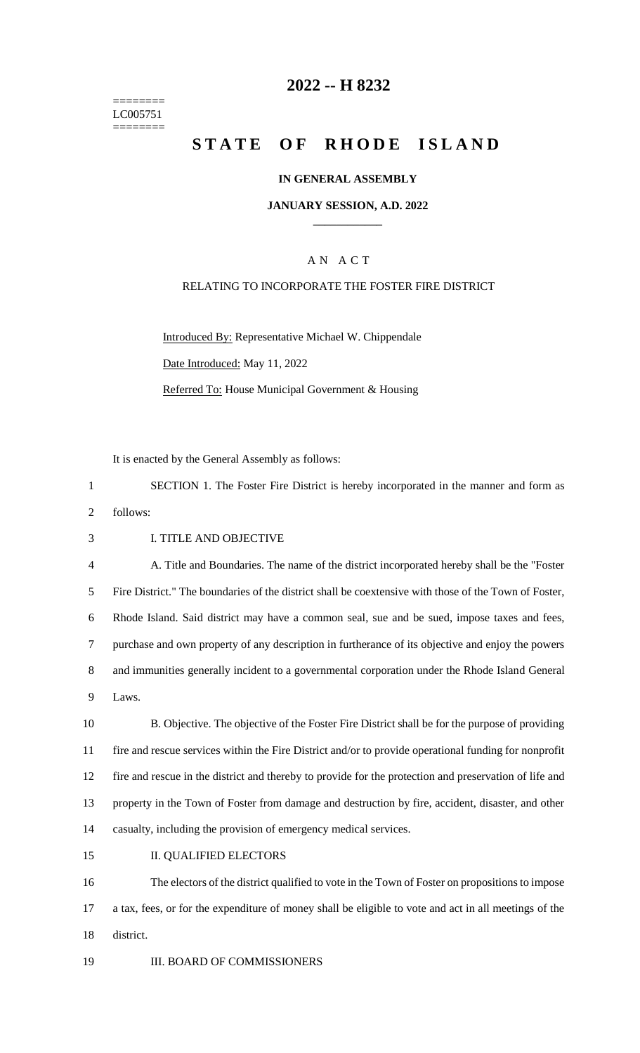======== LC005751 ========

## **2022 -- H 8232**

# **STATE OF RHODE ISLAND**

#### **IN GENERAL ASSEMBLY**

#### **JANUARY SESSION, A.D. 2022 \_\_\_\_\_\_\_\_\_\_\_\_**

## A N A C T

#### RELATING TO INCORPORATE THE FOSTER FIRE DISTRICT

Introduced By: Representative Michael W. Chippendale Date Introduced: May 11, 2022 Referred To: House Municipal Government & Housing

It is enacted by the General Assembly as follows:

1 SECTION 1. The Foster Fire District is hereby incorporated in the manner and form as

2 follows:

3 I. TITLE AND OBJECTIVE

 A. Title and Boundaries. The name of the district incorporated hereby shall be the "Foster Fire District." The boundaries of the district shall be coextensive with those of the Town of Foster, Rhode Island. Said district may have a common seal, sue and be sued, impose taxes and fees, purchase and own property of any description in furtherance of its objective and enjoy the powers and immunities generally incident to a governmental corporation under the Rhode Island General 9 Laws.

 B. Objective. The objective of the Foster Fire District shall be for the purpose of providing fire and rescue services within the Fire District and/or to provide operational funding for nonprofit fire and rescue in the district and thereby to provide for the protection and preservation of life and property in the Town of Foster from damage and destruction by fire, accident, disaster, and other casualty, including the provision of emergency medical services.

15 II. QUALIFIED ELECTORS

16 The electors of the district qualified to vote in the Town of Foster on propositions to impose 17 a tax, fees, or for the expenditure of money shall be eligible to vote and act in all meetings of the 18 district.

19 **III. BOARD OF COMMISSIONERS**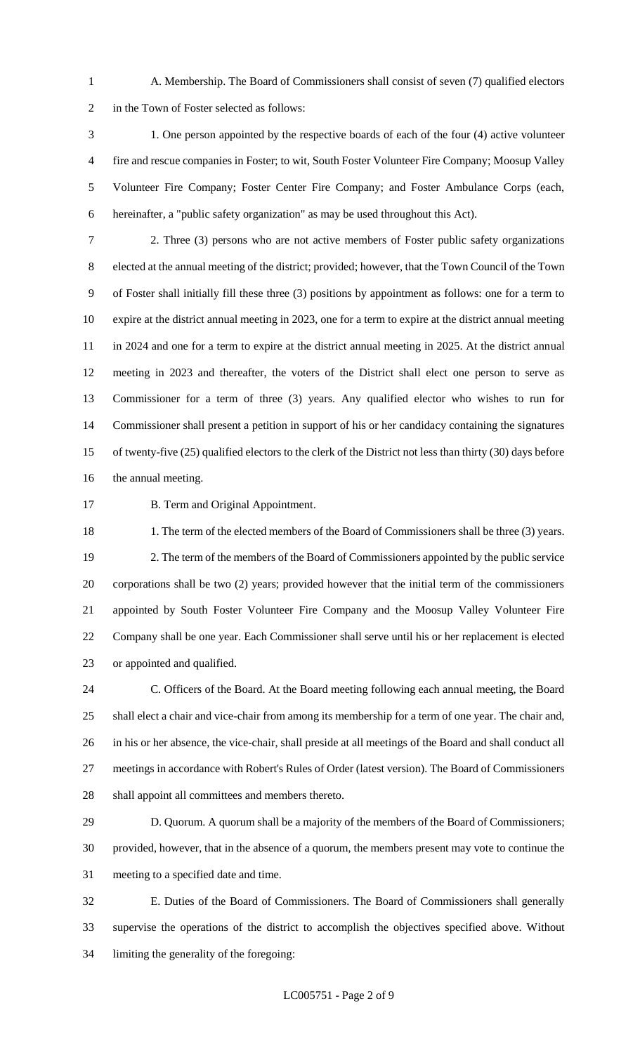A. Membership. The Board of Commissioners shall consist of seven (7) qualified electors in the Town of Foster selected as follows:

 1. One person appointed by the respective boards of each of the four (4) active volunteer fire and rescue companies in Foster; to wit, South Foster Volunteer Fire Company; Moosup Valley Volunteer Fire Company; Foster Center Fire Company; and Foster Ambulance Corps (each, hereinafter, a "public safety organization" as may be used throughout this Act).

 2. Three (3) persons who are not active members of Foster public safety organizations elected at the annual meeting of the district; provided; however, that the Town Council of the Town of Foster shall initially fill these three (3) positions by appointment as follows: one for a term to expire at the district annual meeting in 2023, one for a term to expire at the district annual meeting in 2024 and one for a term to expire at the district annual meeting in 2025. At the district annual meeting in 2023 and thereafter, the voters of the District shall elect one person to serve as Commissioner for a term of three (3) years. Any qualified elector who wishes to run for Commissioner shall present a petition in support of his or her candidacy containing the signatures of twenty-five (25) qualified electors to the clerk of the District not less than thirty (30) days before the annual meeting.

**B. Term and Original Appointment.** 

18 1. The term of the elected members of the Board of Commissioners shall be three (3) years. 2. The term of the members of the Board of Commissioners appointed by the public service corporations shall be two (2) years; provided however that the initial term of the commissioners appointed by South Foster Volunteer Fire Company and the Moosup Valley Volunteer Fire Company shall be one year. Each Commissioner shall serve until his or her replacement is elected or appointed and qualified.

 C. Officers of the Board. At the Board meeting following each annual meeting, the Board shall elect a chair and vice-chair from among its membership for a term of one year. The chair and, in his or her absence, the vice-chair, shall preside at all meetings of the Board and shall conduct all meetings in accordance with Robert's Rules of Order (latest version). The Board of Commissioners shall appoint all committees and members thereto.

 D. Quorum. A quorum shall be a majority of the members of the Board of Commissioners; provided, however, that in the absence of a quorum, the members present may vote to continue the meeting to a specified date and time.

 E. Duties of the Board of Commissioners. The Board of Commissioners shall generally supervise the operations of the district to accomplish the objectives specified above. Without limiting the generality of the foregoing: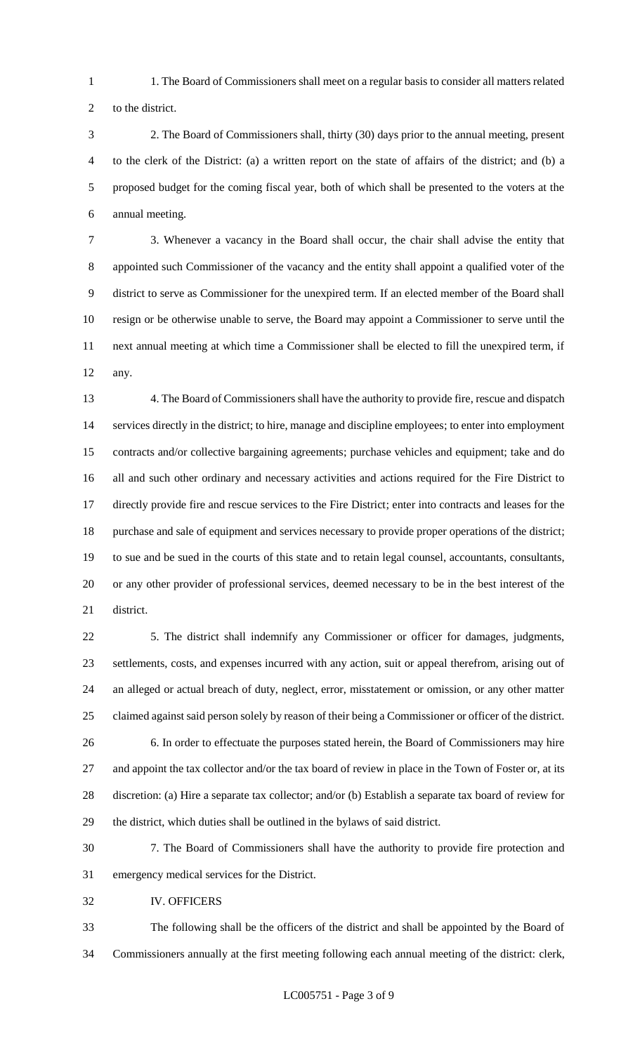- 1. The Board of Commissioners shall meet on a regular basis to consider all matters related
- to the district.
- 2. The Board of Commissioners shall, thirty (30) days prior to the annual meeting, present to the clerk of the District: (a) a written report on the state of affairs of the district; and (b) a proposed budget for the coming fiscal year, both of which shall be presented to the voters at the annual meeting.

 3. Whenever a vacancy in the Board shall occur, the chair shall advise the entity that appointed such Commissioner of the vacancy and the entity shall appoint a qualified voter of the district to serve as Commissioner for the unexpired term. If an elected member of the Board shall resign or be otherwise unable to serve, the Board may appoint a Commissioner to serve until the next annual meeting at which time a Commissioner shall be elected to fill the unexpired term, if any.

 4. The Board of Commissioners shall have the authority to provide fire, rescue and dispatch services directly in the district; to hire, manage and discipline employees; to enter into employment contracts and/or collective bargaining agreements; purchase vehicles and equipment; take and do all and such other ordinary and necessary activities and actions required for the Fire District to directly provide fire and rescue services to the Fire District; enter into contracts and leases for the purchase and sale of equipment and services necessary to provide proper operations of the district; to sue and be sued in the courts of this state and to retain legal counsel, accountants, consultants, or any other provider of professional services, deemed necessary to be in the best interest of the district.

 5. The district shall indemnify any Commissioner or officer for damages, judgments, settlements, costs, and expenses incurred with any action, suit or appeal therefrom, arising out of an alleged or actual breach of duty, neglect, error, misstatement or omission, or any other matter claimed against said person solely by reason of their being a Commissioner or officer of the district. 6. In order to effectuate the purposes stated herein, the Board of Commissioners may hire 27 and appoint the tax collector and/or the tax board of review in place in the Town of Foster or, at its discretion: (a) Hire a separate tax collector; and/or (b) Establish a separate tax board of review for

 7. The Board of Commissioners shall have the authority to provide fire protection and emergency medical services for the District.

the district, which duties shall be outlined in the bylaws of said district.

IV. OFFICERS

 The following shall be the officers of the district and shall be appointed by the Board of Commissioners annually at the first meeting following each annual meeting of the district: clerk,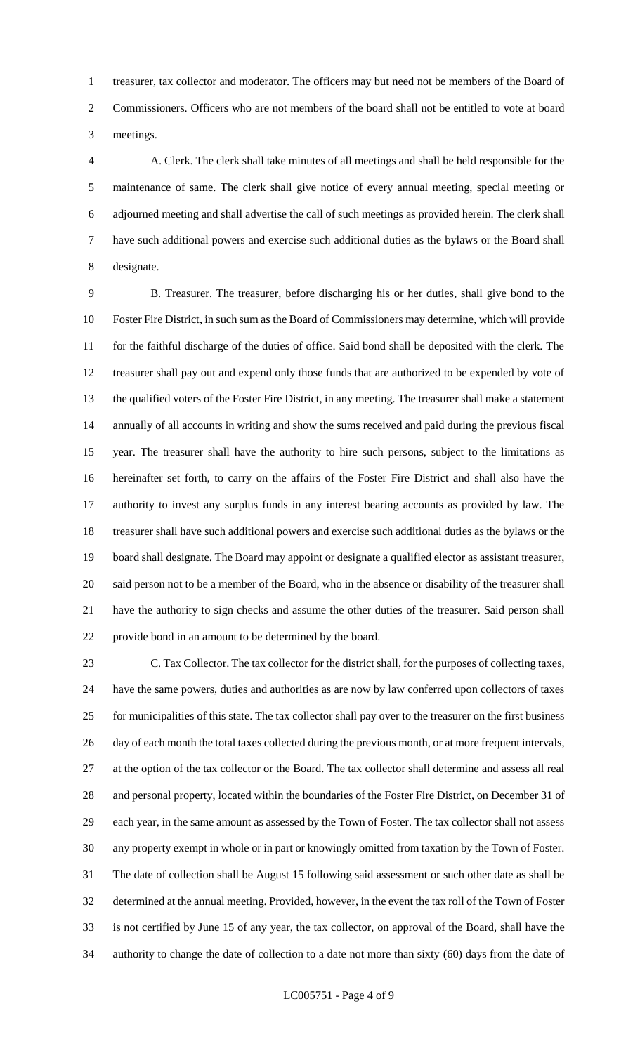treasurer, tax collector and moderator. The officers may but need not be members of the Board of Commissioners. Officers who are not members of the board shall not be entitled to vote at board meetings.

 A. Clerk. The clerk shall take minutes of all meetings and shall be held responsible for the maintenance of same. The clerk shall give notice of every annual meeting, special meeting or adjourned meeting and shall advertise the call of such meetings as provided herein. The clerk shall have such additional powers and exercise such additional duties as the bylaws or the Board shall designate.

 B. Treasurer. The treasurer, before discharging his or her duties, shall give bond to the Foster Fire District, in such sum as the Board of Commissioners may determine, which will provide for the faithful discharge of the duties of office. Said bond shall be deposited with the clerk. The treasurer shall pay out and expend only those funds that are authorized to be expended by vote of the qualified voters of the Foster Fire District, in any meeting. The treasurer shall make a statement annually of all accounts in writing and show the sums received and paid during the previous fiscal year. The treasurer shall have the authority to hire such persons, subject to the limitations as hereinafter set forth, to carry on the affairs of the Foster Fire District and shall also have the authority to invest any surplus funds in any interest bearing accounts as provided by law. The treasurer shall have such additional powers and exercise such additional duties as the bylaws or the board shall designate. The Board may appoint or designate a qualified elector as assistant treasurer, said person not to be a member of the Board, who in the absence or disability of the treasurer shall have the authority to sign checks and assume the other duties of the treasurer. Said person shall provide bond in an amount to be determined by the board.

 C. Tax Collector. The tax collector for the district shall, for the purposes of collecting taxes, have the same powers, duties and authorities as are now by law conferred upon collectors of taxes for municipalities of this state. The tax collector shall pay over to the treasurer on the first business 26 day of each month the total taxes collected during the previous month, or at more frequent intervals, at the option of the tax collector or the Board. The tax collector shall determine and assess all real and personal property, located within the boundaries of the Foster Fire District, on December 31 of each year, in the same amount as assessed by the Town of Foster. The tax collector shall not assess any property exempt in whole or in part or knowingly omitted from taxation by the Town of Foster. The date of collection shall be August 15 following said assessment or such other date as shall be determined at the annual meeting. Provided, however, in the event the tax roll of the Town of Foster is not certified by June 15 of any year, the tax collector, on approval of the Board, shall have the authority to change the date of collection to a date not more than sixty (60) days from the date of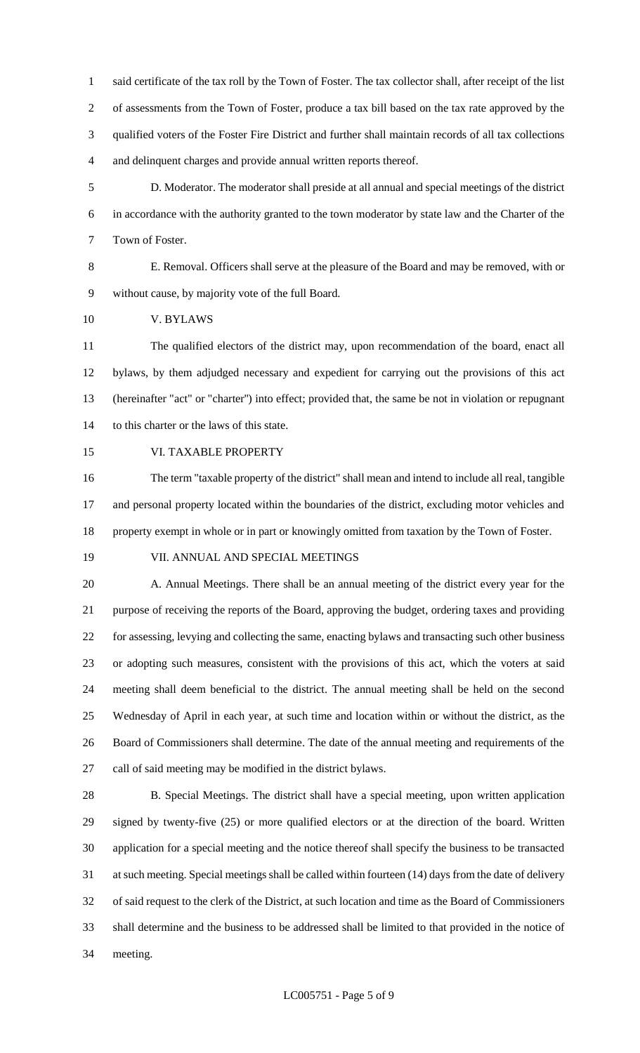said certificate of the tax roll by the Town of Foster. The tax collector shall, after receipt of the list of assessments from the Town of Foster, produce a tax bill based on the tax rate approved by the qualified voters of the Foster Fire District and further shall maintain records of all tax collections and delinquent charges and provide annual written reports thereof.

 D. Moderator. The moderator shall preside at all annual and special meetings of the district in accordance with the authority granted to the town moderator by state law and the Charter of the Town of Foster.

 E. Removal. Officers shall serve at the pleasure of the Board and may be removed, with or without cause, by majority vote of the full Board.

V. BYLAWS

 The qualified electors of the district may, upon recommendation of the board, enact all bylaws, by them adjudged necessary and expedient for carrying out the provisions of this act (hereinafter "act" or "charter'') into effect; provided that, the same be not in violation or repugnant to this charter or the laws of this state.

VI. TAXABLE PROPERTY

 The term "taxable property of the district" shall mean and intend to include all real, tangible and personal property located within the boundaries of the district, excluding motor vehicles and property exempt in whole or in part or knowingly omitted from taxation by the Town of Foster.

#### VII. ANNUAL AND SPECIAL MEETINGS

 A. Annual Meetings. There shall be an annual meeting of the district every year for the purpose of receiving the reports of the Board, approving the budget, ordering taxes and providing for assessing, levying and collecting the same, enacting bylaws and transacting such other business or adopting such measures, consistent with the provisions of this act, which the voters at said meeting shall deem beneficial to the district. The annual meeting shall be held on the second Wednesday of April in each year, at such time and location within or without the district, as the Board of Commissioners shall determine. The date of the annual meeting and requirements of the call of said meeting may be modified in the district bylaws.

 B. Special Meetings. The district shall have a special meeting, upon written application signed by twenty-five (25) or more qualified electors or at the direction of the board. Written application for a special meeting and the notice thereof shall specify the business to be transacted at such meeting. Special meetings shall be called within fourteen (14) days from the date of delivery of said request to the clerk of the District, at such location and time as the Board of Commissioners shall determine and the business to be addressed shall be limited to that provided in the notice of meeting.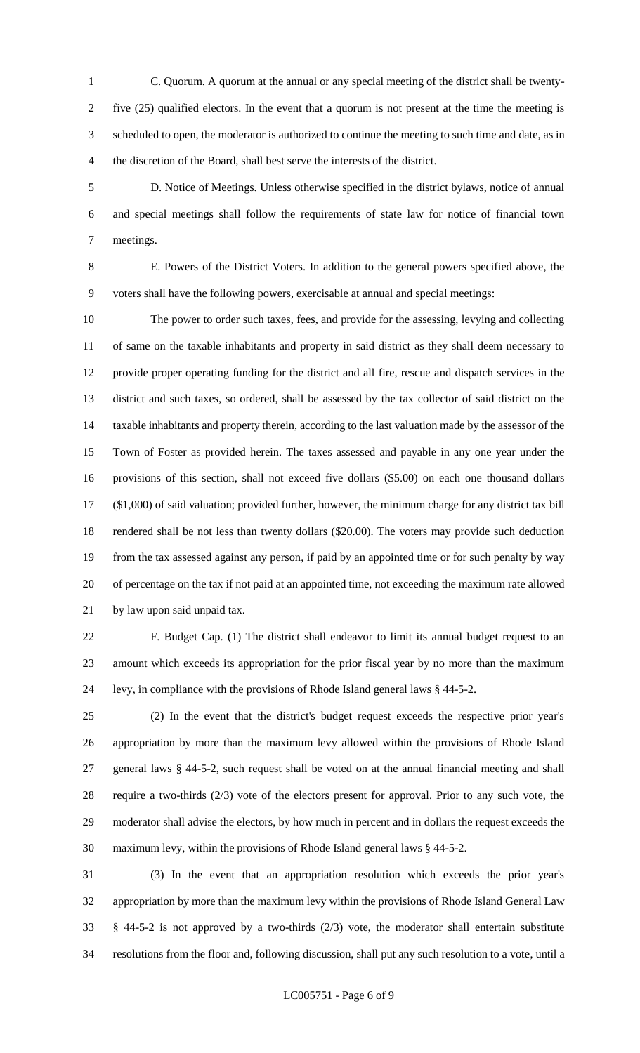- C. Quorum. A quorum at the annual or any special meeting of the district shall be twenty- five (25) qualified electors. In the event that a quorum is not present at the time the meeting is scheduled to open, the moderator is authorized to continue the meeting to such time and date, as in the discretion of the Board, shall best serve the interests of the district.
- D. Notice of Meetings. Unless otherwise specified in the district bylaws, notice of annual and special meetings shall follow the requirements of state law for notice of financial town meetings.

 E. Powers of the District Voters. In addition to the general powers specified above, the voters shall have the following powers, exercisable at annual and special meetings:

 The power to order such taxes, fees, and provide for the assessing, levying and collecting of same on the taxable inhabitants and property in said district as they shall deem necessary to provide proper operating funding for the district and all fire, rescue and dispatch services in the district and such taxes, so ordered, shall be assessed by the tax collector of said district on the taxable inhabitants and property therein, according to the last valuation made by the assessor of the Town of Foster as provided herein. The taxes assessed and payable in any one year under the provisions of this section, shall not exceed five dollars (\$5.00) on each one thousand dollars (\$1,000) of said valuation; provided further, however, the minimum charge for any district tax bill rendered shall be not less than twenty dollars (\$20.00). The voters may provide such deduction from the tax assessed against any person, if paid by an appointed time or for such penalty by way of percentage on the tax if not paid at an appointed time, not exceeding the maximum rate allowed by law upon said unpaid tax.

 F. Budget Cap. (1) The district shall endeavor to limit its annual budget request to an amount which exceeds its appropriation for the prior fiscal year by no more than the maximum levy, in compliance with the provisions of Rhode Island general laws § 44-5-2.

 (2) In the event that the district's budget request exceeds the respective prior year's appropriation by more than the maximum levy allowed within the provisions of Rhode Island general laws § 44-5-2, such request shall be voted on at the annual financial meeting and shall require a two-thirds (2/3) vote of the electors present for approval. Prior to any such vote, the moderator shall advise the electors, by how much in percent and in dollars the request exceeds the maximum levy, within the provisions of Rhode Island general laws § 44-5-2.

 (3) In the event that an appropriation resolution which exceeds the prior year's appropriation by more than the maximum levy within the provisions of Rhode Island General Law § 44-5-2 is not approved by a two-thirds (2/3) vote, the moderator shall entertain substitute resolutions from the floor and, following discussion, shall put any such resolution to a vote, until a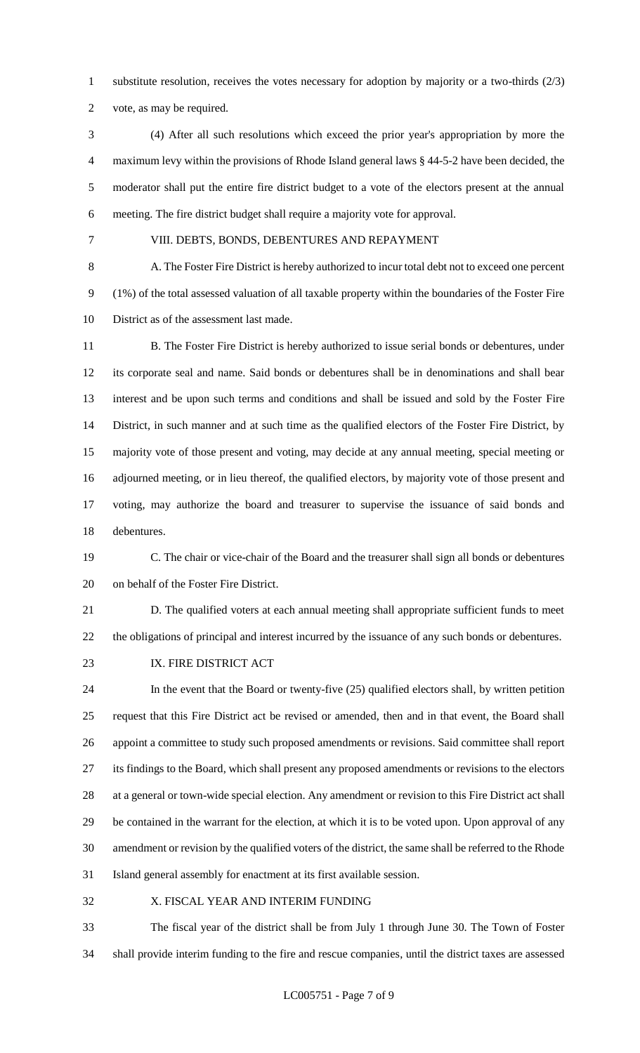substitute resolution, receives the votes necessary for adoption by majority or a two-thirds (2/3)

vote, as may be required.

- (4) After all such resolutions which exceed the prior year's appropriation by more the maximum levy within the provisions of Rhode Island general laws § 44-5-2 have been decided, the moderator shall put the entire fire district budget to a vote of the electors present at the annual meeting. The fire district budget shall require a majority vote for approval.
- 

#### VIII. DEBTS, BONDS, DEBENTURES AND REPAYMENT

 A. The Foster Fire District is hereby authorized to incur total debt not to exceed one percent (1%) of the total assessed valuation of all taxable property within the boundaries of the Foster Fire District as of the assessment last made.

11 B. The Foster Fire District is hereby authorized to issue serial bonds or debentures, under its corporate seal and name. Said bonds or debentures shall be in denominations and shall bear interest and be upon such terms and conditions and shall be issued and sold by the Foster Fire District, in such manner and at such time as the qualified electors of the Foster Fire District, by majority vote of those present and voting, may decide at any annual meeting, special meeting or adjourned meeting, or in lieu thereof, the qualified electors, by majority vote of those present and voting, may authorize the board and treasurer to supervise the issuance of said bonds and debentures.

 C. The chair or vice-chair of the Board and the treasurer shall sign all bonds or debentures on behalf of the Foster Fire District.

 D. The qualified voters at each annual meeting shall appropriate sufficient funds to meet the obligations of principal and interest incurred by the issuance of any such bonds or debentures.

23 IX. FIRE DISTRICT ACT

 In the event that the Board or twenty-five (25) qualified electors shall, by written petition request that this Fire District act be revised or amended, then and in that event, the Board shall appoint a committee to study such proposed amendments or revisions. Said committee shall report its findings to the Board, which shall present any proposed amendments or revisions to the electors at a general or town-wide special election. Any amendment or revision to this Fire District act shall be contained in the warrant for the election, at which it is to be voted upon. Upon approval of any amendment or revision by the qualified voters of the district, the same shall be referred to the Rhode Island general assembly for enactment at its first available session.

X. FISCAL YEAR AND INTERIM FUNDING

 The fiscal year of the district shall be from July 1 through June 30. The Town of Foster shall provide interim funding to the fire and rescue companies, until the district taxes are assessed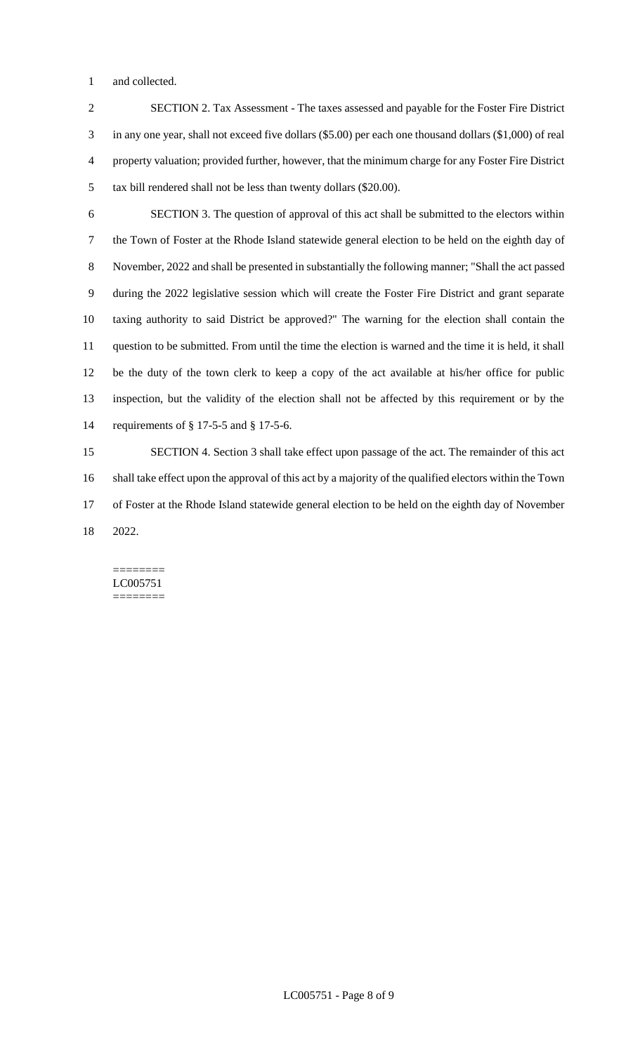and collected.

 SECTION 2. Tax Assessment - The taxes assessed and payable for the Foster Fire District in any one year, shall not exceed five dollars (\$5.00) per each one thousand dollars (\$1,000) of real property valuation; provided further, however, that the minimum charge for any Foster Fire District tax bill rendered shall not be less than twenty dollars (\$20.00).

 SECTION 3. The question of approval of this act shall be submitted to the electors within the Town of Foster at the Rhode Island statewide general election to be held on the eighth day of November, 2022 and shall be presented in substantially the following manner; "Shall the act passed during the 2022 legislative session which will create the Foster Fire District and grant separate taxing authority to said District be approved?" The warning for the election shall contain the question to be submitted. From until the time the election is warned and the time it is held, it shall be the duty of the town clerk to keep a copy of the act available at his/her office for public inspection, but the validity of the election shall not be affected by this requirement or by the requirements of § 17-5-5 and § 17-5-6.

 SECTION 4. Section 3 shall take effect upon passage of the act. The remainder of this act shall take effect upon the approval of this act by a majority of the qualified electors within the Town of Foster at the Rhode Island statewide general election to be held on the eighth day of November 2022.

======== LC005751 ========